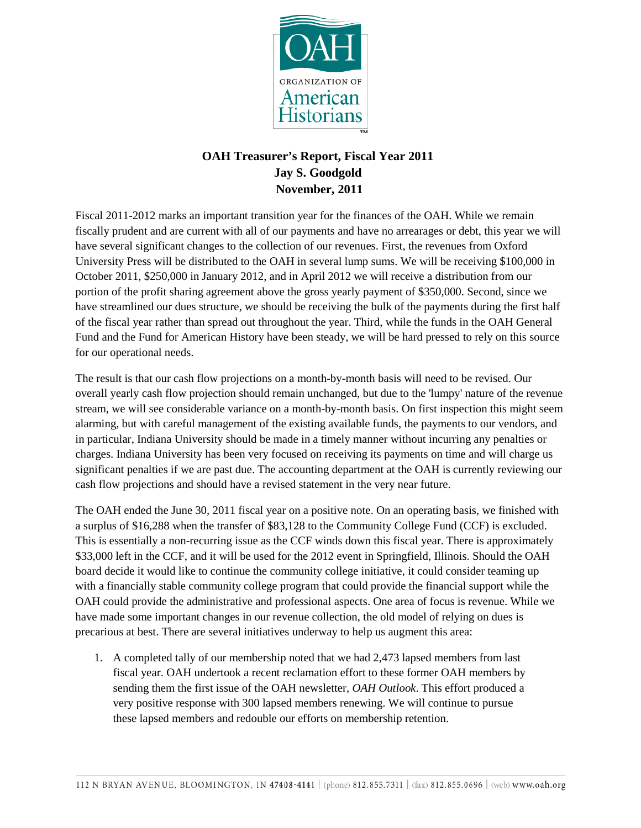

## **OAH Treasurer's Report, Fiscal Year 2011 Jay S. Goodgold November, 2011**

Fiscal 2011-2012 marks an important transition year for the finances of the OAH. While we remain fiscally prudent and are current with all of our payments and have no arrearages or debt, this year we will have several significant changes to the collection of our revenues. First, the revenues from Oxford University Press will be distributed to the OAH in several lump sums. We will be receiving \$100,000 in October 2011, \$250,000 in January 2012, and in April 2012 we will receive a distribution from our portion of the profit sharing agreement above the gross yearly payment of \$350,000. Second, since we have streamlined our dues structure, we should be receiving the bulk of the payments during the first half of the fiscal year rather than spread out throughout the year. Third, while the funds in the OAH General Fund and the Fund for American History have been steady, we will be hard pressed to rely on this source for our operational needs.

The result is that our cash flow projections on a month-by-month basis will need to be revised. Our overall yearly cash flow projection should remain unchanged, but due to the 'lumpy' nature of the revenue stream, we will see considerable variance on a month-by-month basis. On first inspection this might seem alarming, but with careful management of the existing available funds, the payments to our vendors, and in particular, Indiana University should be made in a timely manner without incurring any penalties or charges. Indiana University has been very focused on receiving its payments on time and will charge us significant penalties if we are past due. The accounting department at the OAH is currently reviewing our cash flow projections and should have a revised statement in the very near future.

The OAH ended the June 30, 2011 fiscal year on a positive note. On an operating basis, we finished with a surplus of \$16,288 when the transfer of \$83,128 to the Community College Fund (CCF) is excluded. This is essentially a non-recurring issue as the CCF winds down this fiscal year. There is approximately \$33,000 left in the CCF, and it will be used for the 2012 event in Springfield, Illinois. Should the OAH board decide it would like to continue the community college initiative, it could consider teaming up with a financially stable community college program that could provide the financial support while the OAH could provide the administrative and professional aspects. One area of focus is revenue. While we have made some important changes in our revenue collection, the old model of relying on dues is precarious at best. There are several initiatives underway to help us augment this area:

1. A completed tally of our membership noted that we had 2,473 lapsed members from last fiscal year. OAH undertook a recent reclamation effort to these former OAH members by sending them the first issue of the OAH newsletter, *OAH Outlook*. This effort produced a very positive response with 300 lapsed members renewing. We will continue to pursue these lapsed members and redouble our efforts on membership retention.